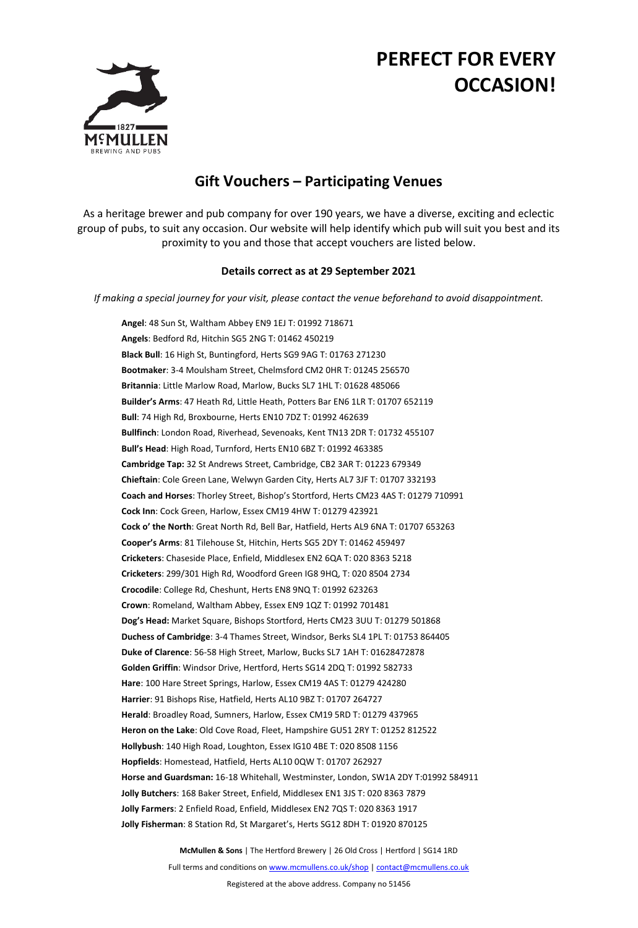## **PERFECT FOR EVERY OCCASION!**



## **Gift Vouchers – Participating Venues**

As a heritage brewer and pub company for over 190 years, we have a diverse, exciting and eclectic group of pubs, to suit any occasion. Our website will help identify which pub will suit you best and its proximity to you and those that accept vouchers are listed below.

## **Details correct as at 29 September 2021**

*If making a special journey for your visit, please contact the venue beforehand to avoid disappointment.*

**Angel**: 48 Sun St, Waltham Abbey EN9 1EJ T: 01992 718671 **Angels**: Bedford Rd, Hitchin SG5 2NG T: 01462 450219 **Black Bull**: 16 High St, Buntingford, Herts SG9 9AG T: 01763 271230 **Bootmaker**: 3-4 Moulsham Street, Chelmsford CM2 0HR T: 01245 256570 **Britannia**: Little Marlow Road, Marlow, Bucks SL7 1HL T: 01628 485066 **Builder's Arms**: 47 Heath Rd, Little Heath, Potters Bar EN6 1LR T: 01707 652119 **Bull**: 74 High Rd, Broxbourne, Herts EN10 7DZ T: 01992 462639 **Bullfinch**: London Road, Riverhead, Sevenoaks, Kent TN13 2DR T: 01732 455107 **Bull's Head**: High Road, Turnford, Herts EN10 6BZ T: 01992 463385 **Cambridge Tap:** 32 St Andrews Street, Cambridge, CB2 3AR T: 01223 679349 **Chieftain**: Cole Green Lane, Welwyn Garden City, Herts AL7 3JF T: 01707 332193 **Coach and Horses**: Thorley Street, Bishop's Stortford, Herts CM23 4AS T: 01279 710991 **Cock Inn**: Cock Green, Harlow, Essex CM19 4HW T: 01279 423921 **Cock o' the North**: Great North Rd, Bell Bar, Hatfield, Herts AL9 6NA T: 01707 653263 **Cooper's Arms**: 81 Tilehouse St, Hitchin, Herts SG5 2DY T: 01462 459497 **Cricketers**: Chaseside Place, Enfield, Middlesex EN2 6QA T: 020 8363 5218 **Cricketers**: 299/301 High Rd, Woodford Green IG8 9HQ, T: 020 8504 2734 **Crocodile**: College Rd, Cheshunt, Herts EN8 9NQ T: 01992 623263 **Crown**: Romeland, Waltham Abbey, Essex EN9 1QZ T: 01992 701481 **Dog's Head:** Market Square, Bishops Stortford, Herts CM23 3UU T: 01279 501868 **Duchess of Cambridge**: 3-4 Thames Street, Windsor, Berks SL4 1PL T: 01753 864405 **Duke of Clarence**: 56-58 High Street, Marlow, Bucks SL7 1AH T: 01628472878 **Golden Griffin**: Windsor Drive, Hertford, Herts SG14 2DQ T: 01992 582733 **Hare**: 100 Hare Street Springs, Harlow, Essex CM19 4AS T: 01279 424280 **Harrier**: 91 Bishops Rise, Hatfield, Herts AL10 9BZ T: 01707 264727 **Herald**: Broadley Road, Sumners, Harlow, Essex CM19 5RD T: 01279 437965 **Heron on the Lake**: Old Cove Road, Fleet, Hampshire GU51 2RY T: 01252 812522 **Hollybush**: 140 High Road, Loughton, Essex IG10 4BE T: 020 8508 1156 **Hopfields**: Homestead, Hatfield, Herts AL10 0QW T: 01707 262927 **Horse and Guardsman:** 16-18 Whitehall, Westminster, London, SW1A 2DY T:01992 584911 **Jolly Butchers**: 168 Baker Street, Enfield, Middlesex EN1 3JS T: 020 8363 7879 **Jolly Farmers**: 2 Enfield Road, Enfield, Middlesex EN2 7QS T: 020 8363 1917 **Jolly Fisherman**: 8 Station Rd, St Margaret's, Herts SG12 8DH T: 01920 870125

**McMullen & Sons** | The Hertford Brewery | 26 Old Cross | Hertford | SG14 1RD

Full terms and conditions on www.mcmullens.co.uk/shop [| contact@mcmullens.co.uk](mailto:contact@mcmullens.co.uk)